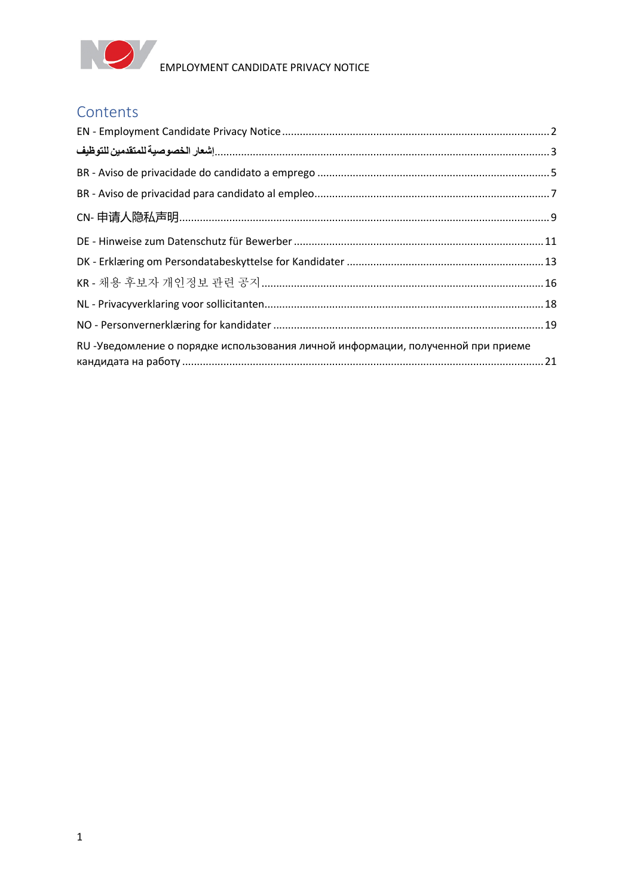

# **Contents**

| RU -Уведомление о порядке использования личной информации, полученной при приеме |  |
|----------------------------------------------------------------------------------|--|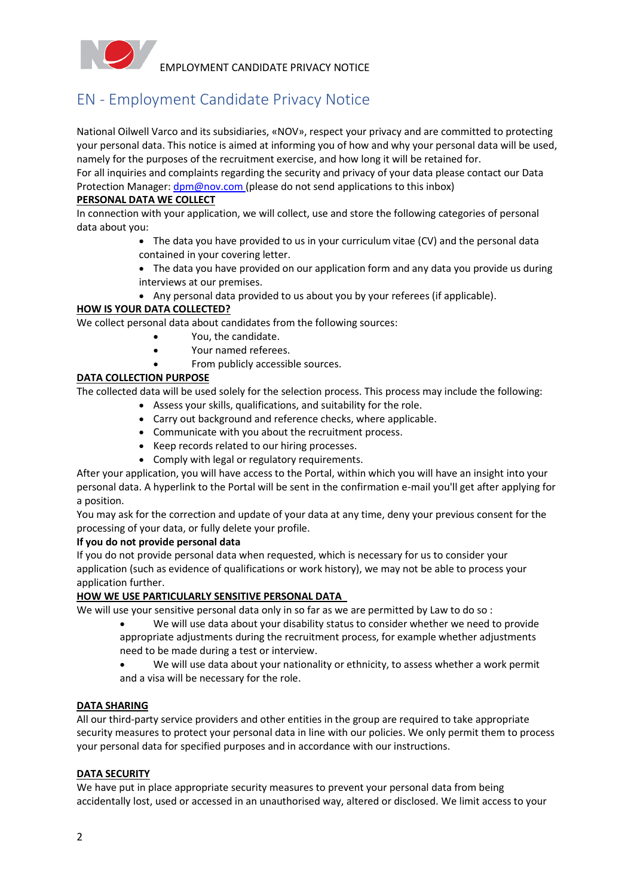

# <span id="page-1-0"></span>EN - Employment Candidate Privacy Notice

National Oilwell Varco and its subsidiaries, «NOV», respect your privacy and are committed to protecting your personal data. This notice is aimed at informing you of how and why your personal data will be used, namely for the purposes of the recruitment exercise, and how long it will be retained for.

For all inquiries and complaints regarding the security and privacy of your data please contact our Data Protection Manager:  $dpm@nov.com$  (please do not send applications to this inbox)

#### **PERSONAL DATA WE COLLECT**

In connection with your application, we will collect, use and store the following categories of personal data about you:

- The data you have provided to us in your curriculum vitae (CV) and the personal data contained in your covering letter.
- The data you have provided on our application form and any data you provide us during interviews at our premises.
- Any personal data provided to us about you by your referees (if applicable).

#### **HOW IS YOUR DATA COLLECTED?**

We collect personal data about candidates from the following sources:

- You, the candidate.
- Your named referees.
- From publicly accessible sources.

#### **DATA COLLECTION PURPOSE**

The collected data will be used solely for the selection process. This process may include the following:

- Assess your skills, qualifications, and suitability for the role.
- Carry out background and reference checks, where applicable.
- Communicate with you about the recruitment process.
- Keep records related to our hiring processes.
- Comply with legal or regulatory requirements.

After your application, you will have access to the Portal, within which you will have an insight into your personal data. A hyperlink to the Portal will be sent in the confirmation e-mail you'll get after applying for a position.

You may ask for the correction and update of your data at any time, deny your previous consent for the processing of your data, or fully delete your profile.

#### **If you do not provide personal data**

If you do not provide personal data when requested, which is necessary for us to consider your application (such as evidence of qualifications or work history), we may not be able to process your application further.

#### **HOW WE USE PARTICULARLY SENSITIVE PERSONAL DATA**

We will use your sensitive personal data only in so far as we are permitted by Law to do so :

- We will use data about your disability status to consider whether we need to provide appropriate adjustments during the recruitment process, for example whether adjustments need to be made during a test or interview.
- We will use data about your nationality or ethnicity, to assess whether a work permit and a visa will be necessary for the role.

#### **DATA SHARING**

All our third-party service providers and other entities in the group are required to take appropriate security measures to protect your personal data in line with our policies. We only permit them to process your personal data for specified purposes and in accordance with our instructions.

#### **DATA SECURITY**

We have put in place appropriate security measures to prevent your personal data from being accidentally lost, used or accessed in an unauthorised way, altered or disclosed. We limit access to your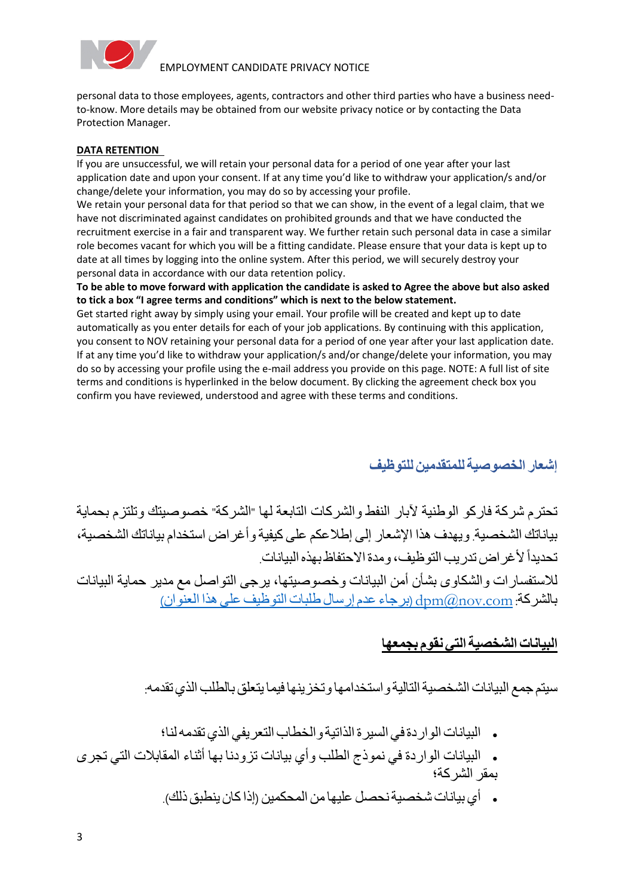

personal data to those employees, agents, contractors and other third parties who have a business needto-know. More details may be obtained from our website privacy notice or by contacting the Data Protection Manager.

#### **DATA RETENTION**

If you are unsuccessful, we will retain your personal data for a period of one year after your last application date and upon your consent. If at any time you'd like to withdraw your application/s and/or change/delete your information, you may do so by accessing your profile.

We retain your personal data for that period so that we can show, in the event of a legal claim, that we have not discriminated against candidates on prohibited grounds and that we have conducted the recruitment exercise in a fair and transparent way. We further retain such personal data in case a similar role becomes vacant for which you will be a fitting candidate. Please ensure that your data is kept up to date at all times by logging into the online system. After this period, we will securely destroy your personal data in accordance with our data retention policy.

**To be able to move forward with application the candidate is asked to Agree the above but also asked to tick a box "I agree terms and conditions" which is next to the below statement.**

Get started right away by simply using your email. Your profile will be created and kept up to date automatically as you enter details for each of your job applications. By continuing with this application, you consent to NOV retaining your personal data for a period of one year after your last application date. If at any time you'd like to withdraw your application/s and/or change/delete your information, you may do so by accessing your profile using the e-mail address you provide on this page. NOTE: A full list of site terms and conditions is hyperlinked in the below document. By clicking the agreement check box you confirm you have reviewed, understood and agree with these terms and conditions.

# **إشعار الخصوصية للمتقدمين للتوظيف**

<span id="page-2-0"></span>تحترم شركة فاركو الوطنية آلبار النفط والشركات التابعة لها "الشركة" خصوصيتك وتلتزم بحماية بياناتك الشخصية. ويهدف هذا اإلشعار إلى إطالعكم على كيفية وأغراض استخدام بياناتك الشخصية،  $\tilde{1}$ تحديداً لأغر اض تدريب التوظيف، و مدة الاحتفاظ بهذه البيانات.

لالستفسارات والشكاوى بشأن أمن البيانات وخصوصيتها، يرجى التواصل مع مدير حماية البيانات بالشركة: dpm(@nov.com (برجاء عدم إرسال طلبات التوظيف على هذا العنوان)

## **البياناتالشخصية التي نقومبجمعها**

سيتم جمع البيانات الشخصية التالية واستخدامها وتخزينها فيما يتعلق بالطلب الذي تقدمه

- البيانات الواردة في السيرة الذاتية والخطاب التعريفي الذيتقدمهلنا ؛
- البيانات الواردة في نموذج الطلب وأي بيانات تزودنا بها أثناء المقابالت التي تجرى بمقر الشركة؛
	- أي بيانات شخصيةنحصل عليهامن المحكمين )إذاكان ينطبق ذلك(.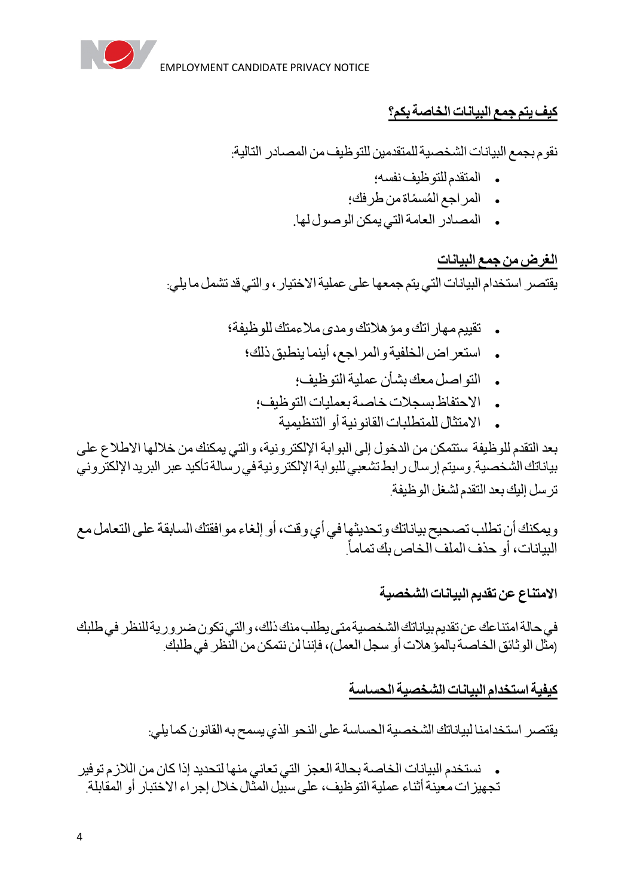

# **كيف يتم جمع البياناتالخاصة بكم؟**

نقوم بجمع البيانات الشخصية للمتقدمين للتوظيف من المصادر التالية:

- المتقدمللتوظيف نفسه؛
- . المراجع المُسمًاة من طرفك؛
- المصادر العامةالتي يمكن الوصول لها.

# **الغرضمن جمع البيانات**

يقتصر استخدام البيانات التي يتم جمعها على عملية الاختيار ، والتي قد تشمل ما يلي:

- تقييممهاراتك ومؤهالتك ومدى مالءمتك للوظيفة ؛
	- استعراضالخلفية والمراجع،أينما ينطبق ذلك ؛
		- . التواصل معك بشأن عملية التوظيف؛
		- الاحتفاظ بسجلات خاصية بعمليات التوظيف؛
			- االمتثال للمتطلبات القانونيةأو التنظيمي ة

بعد التقدم للوظيفة ستتمكن من الدخول إلى البوابة اإللكترونية، والتي يمكنك من خاللها االطالع على بياناتك الشخصية. وسيتم إرسال رابط تشعبي للبوابة اإللكترونية في رسالة تأكيد عبر البريد اإللكتروني ترسل إليك بعدالتقدملشغل الوظيفة.

ويمكنك أن تطلب تصحيح بياناتك وتحديثها في أي وقت، أو إلغاء موافقتك السابقة على التعامل مع البيانات، أو حذف الملف الخاص بك تماماً.

# **االمتناع عن تقديمالبياناتالشخصية**

في حالة امتناعك عن تقديم بياناتك الشخصية متى يطلب منك ذلك، والتي تكون ضرورية للنظر في طلبك (مثل الوثائق الخاصــة بالمؤ هلات أو سجل العمل)، فإننا لن نتمكن من النّظر في طلبك.

# **كيفية استخدامالبياناتالشخصية الحساسة**

يقتصر استخدامنا لبياناتك الشخصيةالحساسة على النحو الذييسمح بهالقانون كما يلي:

نستخدم البيانات الخاصـة بحالـة العجز التي تعاني منـها لتحديد إذا كان من اللازم توفير تجهيزات معينةأثناء عملية التوظيف، على سبيل المثال خالل إجراء االختبار أو المقابلة.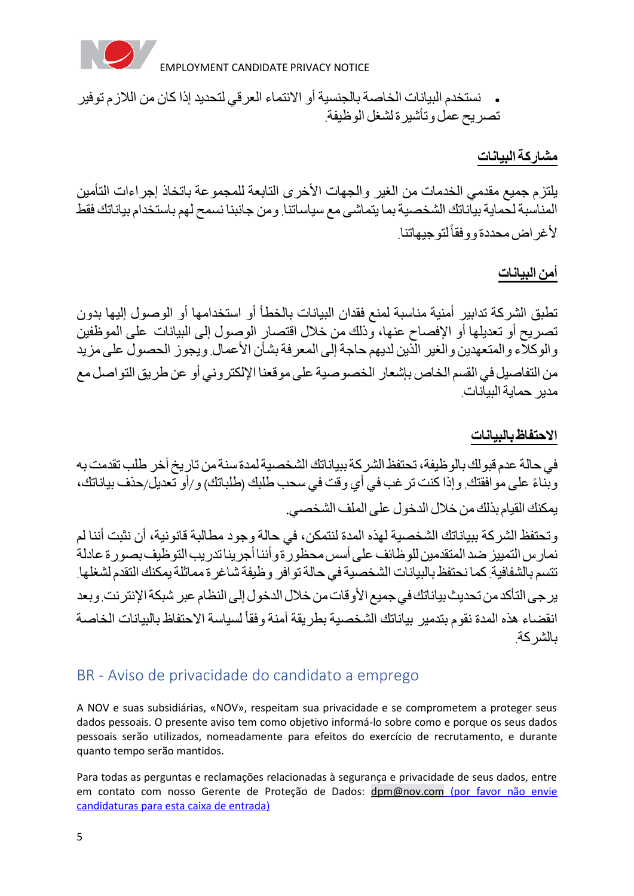

• نستخدم البيانات الخاصة بالجنسية أو االنتماء العرقي لتحديد إذا كان من الالزم توفير تصريح عمل وتأشيرة لشغل الوظيفة.

**مشاركة البيانات**

يلتزم جميع مقدمي الخدمات من الغير والجهات األخرى التابعة للمجموعة باتخاذ إجراءات التأمين المناسبة لحماية بياناتك الشخصية بما يتماشى مع سياساتنا. ومن جانبنا نسمح لهم باستخدام بياناتك فقط ألغراضمحددة ووفقا لتوجيهاتنا.

# **أمن البيانات**

تطبق الشركة تدابير أمنية مناسبة لمنع فقدان البيانات بالخطأ أو استخدامها أو الوصول إليها بدون تصريح أو تعديلها أو اإلفصاح عنها، وذلك من خالل اقتصار الوصول إلى البيانات على الموظفين والوكالء والمتعهدين والغير الذين لديهم حاجة إلى المعرفة بشأن األعمال. ويجوز الحصول على مزيد من التفاصيل في القسم الخاص بإشعار الخصوصية على موقعنا اإللكتروني أو عن طريق التواصل مع مدير حمايةالبيانات.

### **االحتفاظ بالبيانا ت**

في حالة عدمقبولك بالوظيفة،تحتفظ الشركةببياناتك الشخصيةلمدة سنةمن تاريخ آخر طلب تقدمت به وبِّناءً على موافقتك. وإذا كنت ترغب في أي وقت في سحب طلبك (طلباتك) و/أو تعديل/حذف بياناتك، يمكنك القيام بذلك من خلال الدخو ل على الملف الشخصي.

وتحتفظ الشركة ببياناتك الشخصية لهذه المدة لنتمكن، في حالة وجود مطالبة قانونية، أن نثبت أننا لم نمارس التمييز ضد المتقدمين للوظائف على أسس محظورة وأننا أجرينا تدريب التوظيف بصورة عادلة تتسم بالشفافية. كما نحتفظ بالبيانات الشخصية في حالة توافر وظيفة شاغرة مماثلة يمكنك التقدم لشغلها. ير جي التأكد من تحديث بياناتك في جميع الأوقات من خلال الدخول إلى النظام عبر شبكة الإنترنت. وبعد انقضاء هذه المدة نقوم بتدمير بياناتك الشخصية بطريقة آمنة وفقاً لسياسة الاحتفاظ بالبيانات الخاصة بالشركة.

# <span id="page-4-0"></span>BR - Aviso de privacidade do candidato a emprego

A NOV e suas subsidiárias, «NOV», respeitam sua privacidade e se comprometem a proteger seus dados pessoais. O presente aviso tem como objetivo informá-lo sobre como e porque os seus dados pessoais serão utilizados, nomeadamente para efeitos do exercício de recrutamento, e durante quanto tempo serão mantidos.

Para todas as perguntas e reclamações relacionadas à segurança e privacidade de seus dados, entre em contato com nosso Gerente de Proteção de Dados: [dpm@nov.com](mailto:dpm@nov.com) (por favor não envie candidaturas para esta caixa de entrada)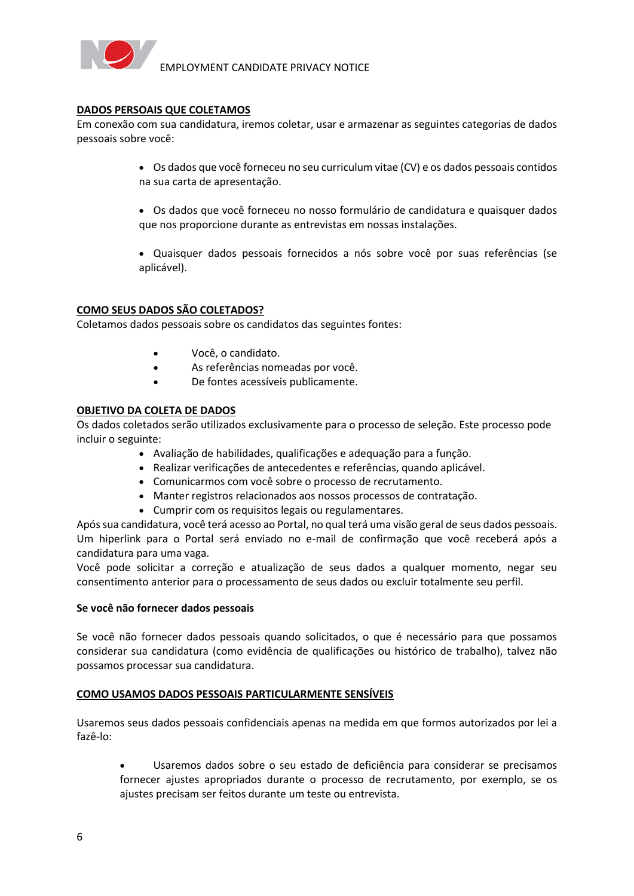

#### **DADOS PERSOAIS QUE COLETAMOS**

Em conexão com sua candidatura, iremos coletar, usar e armazenar as seguintes categorias de dados pessoais sobre você:

- Os dados que você forneceu no seu curriculum vitae (CV) e os dados pessoais contidos na sua carta de apresentação.
- Os dados que você forneceu no nosso formulário de candidatura e quaisquer dados que nos proporcione durante as entrevistas em nossas instalações.
- Quaisquer dados pessoais fornecidos a nós sobre você por suas referências (se aplicável).

#### **COMO SEUS DADOS SÃO COLETADOS?**

Coletamos dados pessoais sobre os candidatos das seguintes fontes:

- Você, o candidato.
- As referências nomeadas por você.
- De fontes acessíveis publicamente.

#### **OBJETIVO DA COLETA DE DADOS**

Os dados coletados serão utilizados exclusivamente para o processo de seleção. Este processo pode incluir o seguinte:

- Avaliação de habilidades, qualificações e adequação para a função.
- Realizar verificações de antecedentes e referências, quando aplicável.
- Comunicarmos com você sobre o processo de recrutamento.
- Manter registros relacionados aos nossos processos de contratação.
- Cumprir com os requisitos legais ou regulamentares.

Após sua candidatura, você terá acesso ao Portal, no qual terá uma visão geral de seus dados pessoais. Um hiperlink para o Portal será enviado no e-mail de confirmação que você receberá após a candidatura para uma vaga.

Você pode solicitar a correção e atualização de seus dados a qualquer momento, negar seu consentimento anterior para o processamento de seus dados ou excluir totalmente seu perfil.

#### **Se você não fornecer dados pessoais**

Se você não fornecer dados pessoais quando solicitados, o que é necessário para que possamos considerar sua candidatura (como evidência de qualificações ou histórico de trabalho), talvez não possamos processar sua candidatura.

#### **COMO USAMOS DADOS PESSOAIS PARTICULARMENTE SENSÍVEIS**

Usaremos seus dados pessoais confidenciais apenas na medida em que formos autorizados por lei a fazê-lo:

• Usaremos dados sobre o seu estado de deficiência para considerar se precisamos fornecer ajustes apropriados durante o processo de recrutamento, por exemplo, se os ajustes precisam ser feitos durante um teste ou entrevista.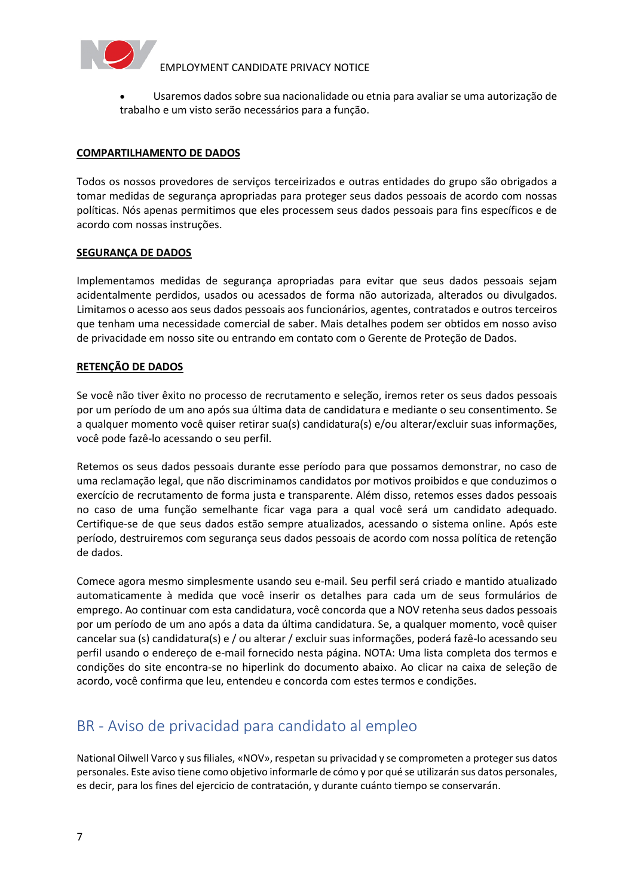

• Usaremos dados sobre sua nacionalidade ou etnia para avaliar se uma autorização de trabalho e um visto serão necessários para a função.

#### **COMPARTILHAMENTO DE DADOS**

Todos os nossos provedores de serviços terceirizados e outras entidades do grupo são obrigados a tomar medidas de segurança apropriadas para proteger seus dados pessoais de acordo com nossas políticas. Nós apenas permitimos que eles processem seus dados pessoais para fins específicos e de acordo com nossas instruções.

#### **SEGURANÇA DE DADOS**

Implementamos medidas de segurança apropriadas para evitar que seus dados pessoais sejam acidentalmente perdidos, usados ou acessados de forma não autorizada, alterados ou divulgados. Limitamos o acesso aos seus dados pessoais aos funcionários, agentes, contratados e outros terceiros que tenham uma necessidade comercial de saber. Mais detalhes podem ser obtidos em nosso aviso de privacidade em nosso site ou entrando em contato com o Gerente de Proteção de Dados.

#### **RETENÇÃO DE DADOS**

Se você não tiver êxito no processo de recrutamento e seleção, iremos reter os seus dados pessoais por um período de um ano após sua última data de candidatura e mediante o seu consentimento. Se a qualquer momento você quiser retirar sua(s) candidatura(s) e/ou alterar/excluir suas informações, você pode fazê-lo acessando o seu perfil.

Retemos os seus dados pessoais durante esse período para que possamos demonstrar, no caso de uma reclamação legal, que não discriminamos candidatos por motivos proibidos e que conduzimos o exercício de recrutamento de forma justa e transparente. Além disso, retemos esses dados pessoais no caso de uma função semelhante ficar vaga para a qual você será um candidato adequado. Certifique-se de que seus dados estão sempre atualizados, acessando o sistema online. Após este período, destruiremos com segurança seus dados pessoais de acordo com nossa política de retenção de dados.

Comece agora mesmo simplesmente usando seu e-mail. Seu perfil será criado e mantido atualizado automaticamente à medida que você inserir os detalhes para cada um de seus formulários de emprego. Ao continuar com esta candidatura, você concorda que a NOV retenha seus dados pessoais por um período de um ano após a data da última candidatura. Se, a qualquer momento, você quiser cancelar sua (s) candidatura(s) e / ou alterar / excluir suas informações, poderá fazê-lo acessando seu perfil usando o endereço de e-mail fornecido nesta página. NOTA: Uma lista completa dos termos e condições do site encontra-se no hiperlink do documento abaixo. Ao clicar na caixa de seleção de acordo, você confirma que leu, entendeu e concorda com estes termos e condições.

# <span id="page-6-0"></span>BR - Aviso de privacidad para candidato al empleo

National Oilwell Varco y sus filiales, «NOV», respetan su privacidad y se comprometen a proteger sus datos personales. Este aviso tiene como objetivo informarle de cómo y por qué se utilizarán sus datos personales, es decir, para los fines del ejercicio de contratación, y durante cuánto tiempo se conservarán.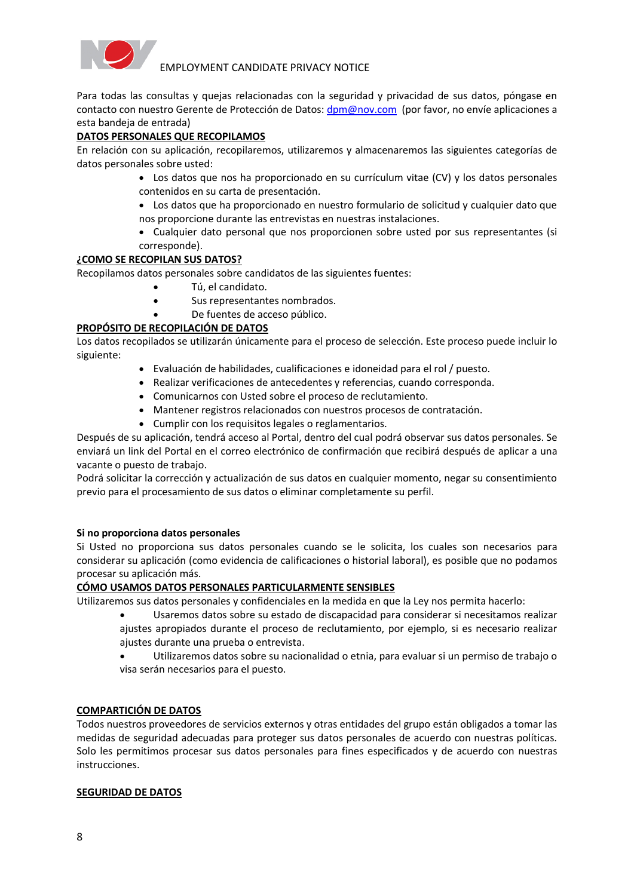

Para todas las consultas y quejas relacionadas con la seguridad y privacidad de sus datos, póngase en contacto con nuestro Gerente de Protección de Datos: [dpm@nov.com](mailto:dpm@nov.com) (por favor, no envíe aplicaciones a esta bandeja de entrada)

#### **DATOS PERSONALES QUE RECOPILAMOS**

En relación con su aplicación, recopilaremos, utilizaremos y almacenaremos las siguientes categorías de datos personales sobre usted:

- Los datos que nos ha proporcionado en su currículum vitae (CV) y los datos personales contenidos en su carta de presentación.
- Los datos que ha proporcionado en nuestro formulario de solicitud y cualquier dato que nos proporcione durante las entrevistas en nuestras instalaciones.
- Cualquier dato personal que nos proporcionen sobre usted por sus representantes (si corresponde).

#### **¿COMO SE RECOPILAN SUS DATOS?**

Recopilamos datos personales sobre candidatos de las siguientes fuentes:

- Tú, el candidato.
- Sus representantes nombrados.
- De fuentes de acceso público.

#### **PROPÓSITO DE RECOPILACIÓN DE DATOS**

Los datos recopilados se utilizarán únicamente para el proceso de selección. Este proceso puede incluir lo siguiente:

- Evaluación de habilidades, cualificaciones e idoneidad para el rol / puesto.
- Realizar verificaciones de antecedentes y referencias, cuando corresponda.
- Comunicarnos con Usted sobre el proceso de reclutamiento.
- Mantener registros relacionados con nuestros procesos de contratación.
- Cumplir con los requisitos legales o reglamentarios.

Después de su aplicación, tendrá acceso al Portal, dentro del cual podrá observar sus datos personales. Se enviará un link del Portal en el correo electrónico de confirmación que recibirá después de aplicar a una vacante o puesto de trabajo.

Podrá solicitar la corrección y actualización de sus datos en cualquier momento, negar su consentimiento previo para el procesamiento de sus datos o eliminar completamente su perfil.

#### **Si no proporciona datos personales**

Si Usted no proporciona sus datos personales cuando se le solicita, los cuales son necesarios para considerar su aplicación (como evidencia de calificaciones o historial laboral), es posible que no podamos procesar su aplicación más.

#### **CÓMO USAMOS DATOS PERSONALES PARTICULARMENTE SENSIBLES**

Utilizaremos sus datos personales y confidenciales en la medida en que la Ley nos permita hacerlo:

• Usaremos datos sobre su estado de discapacidad para considerar si necesitamos realizar ajustes apropiados durante el proceso de reclutamiento, por ejemplo, si es necesario realizar ajustes durante una prueba o entrevista.

• Utilizaremos datos sobre su nacionalidad o etnia, para evaluar si un permiso de trabajo o visa serán necesarios para el puesto.

#### **COMPARTICIÓN DE DATOS**

Todos nuestros proveedores de servicios externos y otras entidades del grupo están obligados a tomar las medidas de seguridad adecuadas para proteger sus datos personales de acuerdo con nuestras políticas. Solo les permitimos procesar sus datos personales para fines especificados y de acuerdo con nuestras instrucciones.

#### **SEGURIDAD DE DATOS**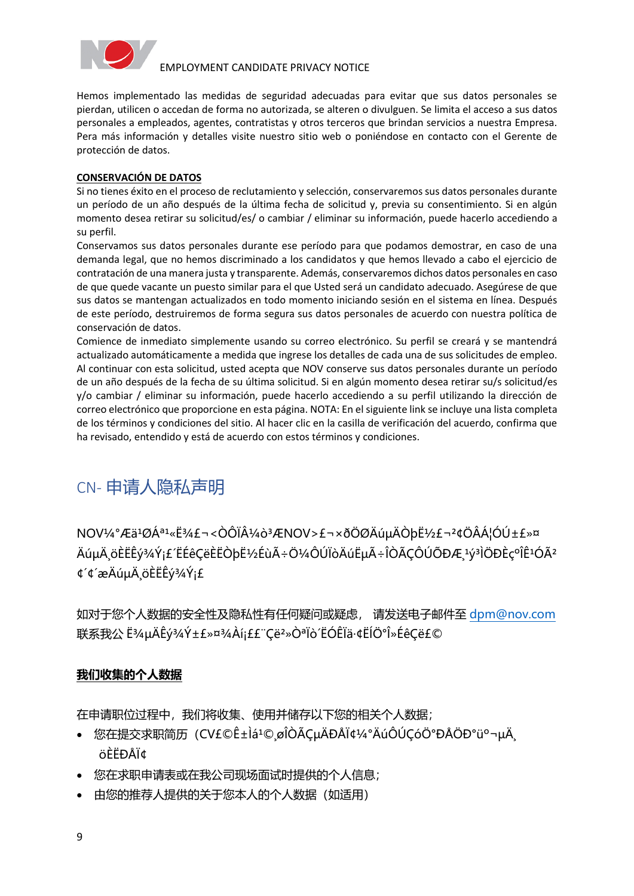

Hemos implementado las medidas de seguridad adecuadas para evitar que sus datos personales se pierdan, utilicen o accedan de forma no autorizada, se alteren o divulguen. Se limita el acceso a sus datos personales a empleados, agentes, contratistas y otros terceros que brindan servicios a nuestra Empresa. Pera más información y detalles visite nuestro sitio web o poniéndose en contacto con el Gerente de protección de datos.

#### **CONSERVACIÓN DE DATOS**

Si no tienes éxito en el proceso de reclutamiento y selección, conservaremos sus datos personales durante un período de un año después de la última fecha de solicitud y, previa su consentimiento. Si en algún momento desea retirar su solicitud/es/ o cambiar / eliminar su información, puede hacerlo accediendo a su perfil.

Conservamos sus datos personales durante ese período para que podamos demostrar, en caso de una demanda legal, que no hemos discriminado a los candidatos y que hemos llevado a cabo el ejercicio de contratación de una manera justa y transparente. Además, conservaremos dichos datos personales en caso de que quede vacante un puesto similar para el que Usted será un candidato adecuado. Asegúrese de que sus datos se mantengan actualizados en todo momento iniciando sesión en el sistema en línea. Después de este período, destruiremos de forma segura sus datos personales de acuerdo con nuestra política de conservación de datos.

Comience de inmediato simplemente usando su correo electrónico. Su perfil se creará y se mantendrá actualizado automáticamente a medida que ingrese los detalles de cada una de sus solicitudes de empleo. Al continuar con esta solicitud, usted acepta que NOV conserve sus datos personales durante un período de un año después de la fecha de su última solicitud. Si en algún momento desea retirar su/s solicitud/es y/o cambiar / eliminar su información, puede hacerlo accediendo a su perfil utilizando la dirección de correo electrónico que proporcione en esta página. NOTA: En el siguiente link se incluye una lista completa de los términos y condiciones del sitio. Al hacer clic en la casilla de verificación del acuerdo, confirma que ha revisado, entendido y está de acuerdo con estos términos y condiciones.

# <span id="page-8-0"></span>CN- 申请人隐私声明

NOV¼°Æä<sup>1</sup>ØÁª1«Ë¾£¬<ÒÔϼò<sup>3</sup>ÆNOV>£¬×ðÖØÄúuÄÒb˼£¬<sup>2</sup>¢ÖÂÁ¦ÓÚ±£»¤ ÄúµÄ¸öÈËÊý¾Ý¡£´ËÉêÇëÈËÒþ˽ÉùÃ÷Ö¼ÔÚÏòÄú˵Ã÷ÎÒÃÇÔÚÕĐÆ¸¼ªÌÖĐÈçºÎÊ1ÓÃ<sup>2</sup> ¢´¢´æÄúµÄ¸öÈËÊý¾Ý¡£

如对于您个人数据的安全性及隐私性有任何疑问或疑虑, 请发送电子邮件至 [dpm@nov.com](mailto:dpm@nov.com) 联系我公 ˾μÄÊý¾Ý±£»¤¾Àí¡££¨Ç뺻ÒªÏò´ËÓÊÏä·¢ËĺְλÉêÇ룩

### **我们收集的个人数据**

在申请职位过程中,我们将收集、使用并储存以下您的相关个人数据;

- 您在提交求职简历 (CV£©Ê±Ìá<sup>1</sup>©¸øÎÒÃǵÄÐÅÏ¢¼°ÄúÔÚÇóÖ°ĐÅÖаüº¬µÄ öÈËÐÅÏ¢
- •        您在求职申请表或在我公司现场面试时提供的个人信息;
- 由您的推荐人提供的关于您本人的个人数据(如适用)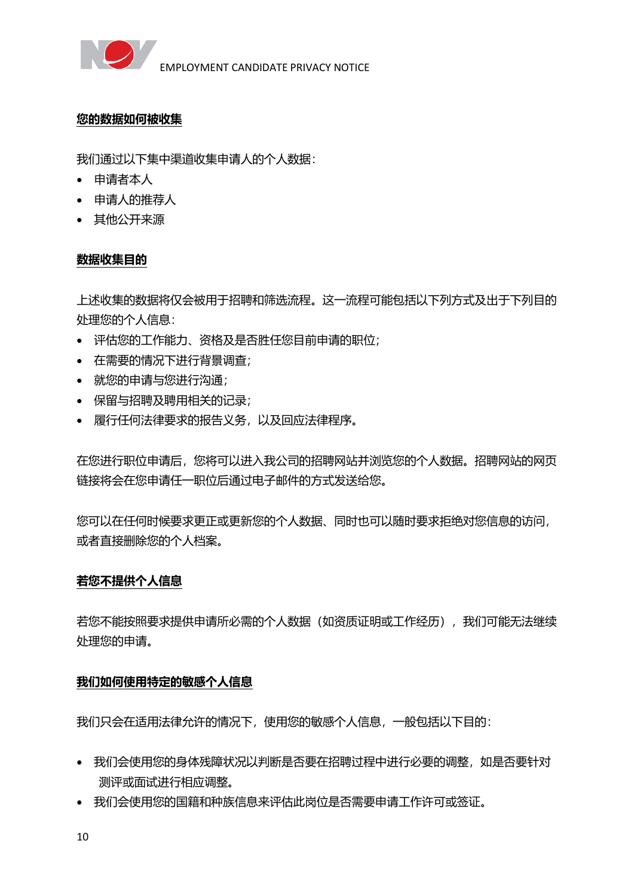

### **您的数据如何被收集**

我们通过以下集中渠道收集申请人的个人数据:

- •        申请者本人
- •        申请人的推荐人
- •        其他公开来源

### **数据收集目的**

上述收集的数据将仅会被用于招聘和筛选流程。这一流程可能包括以下列方式及出于下列目的 处理您的个人信息:

- •        评估您的工作能力、资格及是否胜任您目前申请的职位;
- •        在需要的情况下进行背景调查;
- 就您的申请与您讲行沟通;
- •        保留与招聘及聘用相关的记录;
- 履行任何法律要求的报告义务, 以及回应法律程序。

在您进行职位申请后,您将可以进入我公司的招聘网站并浏览您的个人数据。招聘网站的网页 链接将会在您申请任一职位后通过电子邮件的方式发送给您。

您可以在任何时候要求更正或更新您的个人数据、同时也可以随时要求拒绝对您信息的访问, 或者直接删除您的个人档案。

#### **若您不提供个人信息**

若您不能按照要求提供申请所必需的个人数据(如资质证明或工作经历),我们可能无法继续 处理您的申请。

### **我们如何使用特定的敏感个人信息**

我们只会在适用法律允许的情况下,使用您的敏感个人信息,一般包括以下目的:

- 我们会使用您的身体残障状况以判断是否要在招聘过程中进行必要的调整,如是否要针对 测评或面试进行相应调整。
- •        我们会使用您的国籍和种族信息来评估此岗位是否需要申请工作许可或签证。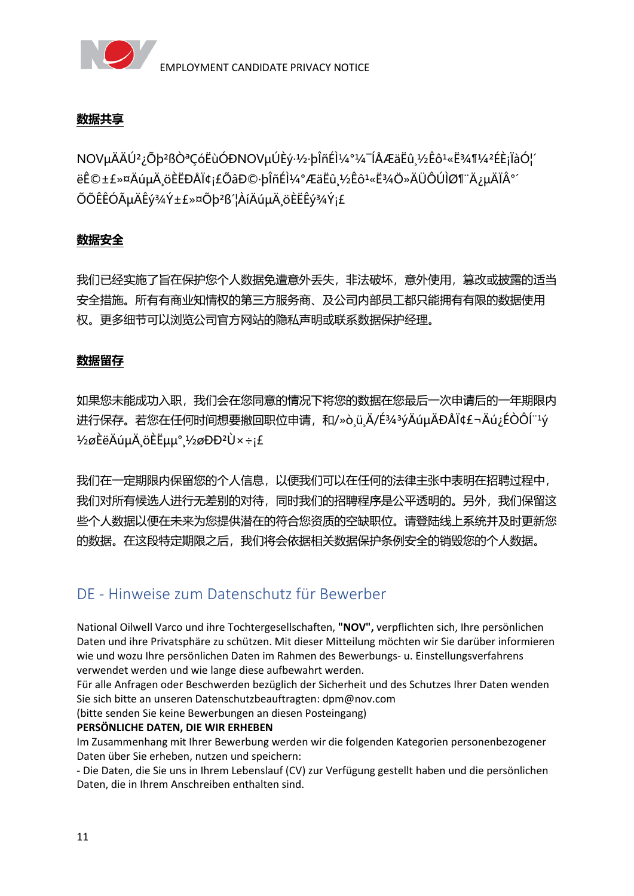

### **数据共享**

NOV掎Ú<sup>2</sup>¿Õb<sup>2</sup>ßÒªCóËùÓĐNOVµÚÈý·½·bÎñÉ̼°¼¯ÍÅÆäËû¸½Êô1«Ë¾¶¼2ÉÈ¡ÏàÓ!´ ëÊ©±£»¤ÄúµÄ¸öÈËÐÅÏ¢¡£ÕâĐ©∙þÎñÉ̼°ÆäËû¸½Êô1«Ë¾Ö»ÄÜÔÚÌØ¶¨Ä¿µÄϰ´ ÕÕÊÊÓõÄÊý¾Ý±£»¤Õþ²ß´¦ÀíÄúµÄ¸öÈËÊý¾Ý¡£

### **数据安全**

我们已经实施了旨在保护您个人数据免遭意外丢失,非法破坏,意外使用,篡改或披露的适当 安全措施。所有有商业知情权的第三方服务商、及公司内部员工都只能拥有有限的数据使用 权。更多细节可以浏览公司官方网站的隐私声明或联系数据保护经理。

### **数据留存**

如果您未能成功入职,我们会在您同意的情况下将您的数据在您最后一次申请后的一年期限内 进行保存。若您在任何时间想要撤回职位申请,和/»ò ü Ä/ɾ3ýÄúµÄÐÅÏ¢£¬Äú¿ÉÒÔÍ"1ý  $1/2$ øÈëÄúμÄ öÈËμμ°  $1/2$ øÐĐ<sup>2</sup>Ù × ÷i£

我们在一定期限内保留您的个人信息,以便我们可以在任何的法律主张中表明在招聘过程中, 我们对所有候选人进行无差别的对待,同时我们的招聘程序是公平透明的。另外,我们保留这 些个人数据以便在未来为您提供潜在的符合您资质的空缺职位。请登陆线上系统并及时更新您 的数据。在这段特定期限之后,我们将会依据相关数据保护条例安全的销毁您的个人数据。

## <span id="page-10-0"></span>DE - Hinweise zum Datenschutz für Bewerber

National Oilwell Varco und ihre Tochtergesellschaften, **"NOV",** verpflichten sich, Ihre persönlichen Daten und ihre Privatsphäre zu schützen. Mit dieser Mitteilung möchten wir Sie darüber informieren wie und wozu Ihre persönlichen Daten im Rahmen des Bewerbungs- u. Einstellungsverfahrens verwendet werden und wie lange diese aufbewahrt werden.

Für alle Anfragen oder Beschwerden bezüglich der Sicherheit und des Schutzes Ihrer Daten wenden Sie sich bitte an unseren Datenschutzbeauftragten: dpm@nov.com

(bitte senden Sie keine Bewerbungen an diesen Posteingang)

#### **PERSÖNLICHE DATEN, DIE WIR ERHEBEN**

Im Zusammenhang mit Ihrer Bewerbung werden wir die folgenden Kategorien personenbezogener Daten über Sie erheben, nutzen und speichern:

- Die Daten, die Sie uns in Ihrem Lebenslauf (CV) zur Verfügung gestellt haben und die persönlichen Daten, die in Ihrem Anschreiben enthalten sind.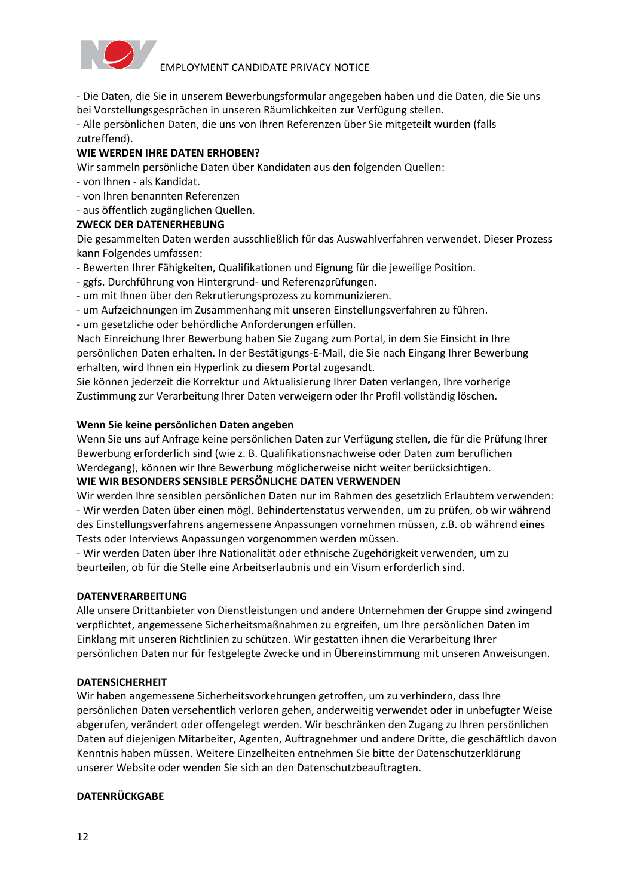

- Die Daten, die Sie in unserem Bewerbungsformular angegeben haben und die Daten, die Sie uns bei Vorstellungsgesprächen in unseren Räumlichkeiten zur Verfügung stellen.

- Alle persönlichen Daten, die uns von Ihren Referenzen über Sie mitgeteilt wurden (falls zutreffend).

### **WIE WERDEN IHRE DATEN ERHOBEN?**

Wir sammeln persönliche Daten über Kandidaten aus den folgenden Quellen:

- von Ihnen als Kandidat.
- von Ihren benannten Referenzen
- aus öffentlich zugänglichen Quellen.

#### **ZWECK DER DATENERHEBUNG**

Die gesammelten Daten werden ausschließlich für das Auswahlverfahren verwendet. Dieser Prozess kann Folgendes umfassen:

- Bewerten Ihrer Fähigkeiten, Qualifikationen und Eignung für die jeweilige Position.
- ggfs. Durchführung von Hintergrund- und Referenzprüfungen.
- um mit Ihnen über den Rekrutierungsprozess zu kommunizieren.
- um Aufzeichnungen im Zusammenhang mit unseren Einstellungsverfahren zu führen.

- um gesetzliche oder behördliche Anforderungen erfüllen.

Nach Einreichung Ihrer Bewerbung haben Sie Zugang zum Portal, in dem Sie Einsicht in Ihre persönlichen Daten erhalten. In der Bestätigungs-E-Mail, die Sie nach Eingang Ihrer Bewerbung erhalten, wird Ihnen ein Hyperlink zu diesem Portal zugesandt.

Sie können jederzeit die Korrektur und Aktualisierung Ihrer Daten verlangen, Ihre vorherige Zustimmung zur Verarbeitung Ihrer Daten verweigern oder Ihr Profil vollständig löschen.

#### **Wenn Sie keine persönlichen Daten angeben**

Wenn Sie uns auf Anfrage keine persönlichen Daten zur Verfügung stellen, die für die Prüfung Ihrer Bewerbung erforderlich sind (wie z. B. Qualifikationsnachweise oder Daten zum beruflichen Werdegang), können wir Ihre Bewerbung möglicherweise nicht weiter berücksichtigen.

#### **WIE WIR BESONDERS SENSIBLE PERSÖNLICHE DATEN VERWENDEN**

Wir werden Ihre sensiblen persönlichen Daten nur im Rahmen des gesetzlich Erlaubtem verwenden: - Wir werden Daten über einen mögl. Behindertenstatus verwenden, um zu prüfen, ob wir während des Einstellungsverfahrens angemessene Anpassungen vornehmen müssen, z.B. ob während eines Tests oder Interviews Anpassungen vorgenommen werden müssen.

- Wir werden Daten über Ihre Nationalität oder ethnische Zugehörigkeit verwenden, um zu beurteilen, ob für die Stelle eine Arbeitserlaubnis und ein Visum erforderlich sind.

#### **DATENVERARBEITUNG**

Alle unsere Drittanbieter von Dienstleistungen und andere Unternehmen der Gruppe sind zwingend verpflichtet, angemessene Sicherheitsmaßnahmen zu ergreifen, um Ihre persönlichen Daten im Einklang mit unseren Richtlinien zu schützen. Wir gestatten ihnen die Verarbeitung Ihrer persönlichen Daten nur für festgelegte Zwecke und in Übereinstimmung mit unseren Anweisungen.

#### **DATENSICHERHEIT**

Wir haben angemessene Sicherheitsvorkehrungen getroffen, um zu verhindern, dass Ihre persönlichen Daten versehentlich verloren gehen, anderweitig verwendet oder in unbefugter Weise abgerufen, verändert oder offengelegt werden. Wir beschränken den Zugang zu Ihren persönlichen Daten auf diejenigen Mitarbeiter, Agenten, Auftragnehmer und andere Dritte, die geschäftlich davon Kenntnis haben müssen. Weitere Einzelheiten entnehmen Sie bitte der Datenschutzerklärung unserer Website oder wenden Sie sich an den Datenschutzbeauftragten.

#### **DATENRÜCKGABE**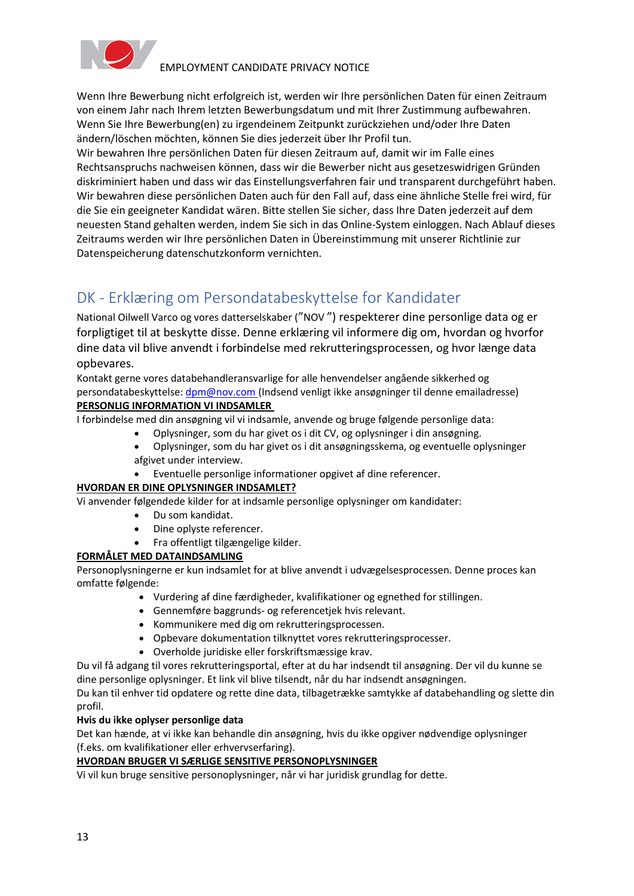

Wenn Ihre Bewerbung nicht erfolgreich ist, werden wir Ihre persönlichen Daten für einen Zeitraum von einem Jahr nach Ihrem letzten Bewerbungsdatum und mit Ihrer Zustimmung aufbewahren. Wenn Sie Ihre Bewerbung(en) zu irgendeinem Zeitpunkt zurückziehen und/oder Ihre Daten ändern/löschen möchten, können Sie dies jederzeit über Ihr Profil tun.

Wir bewahren Ihre persönlichen Daten für diesen Zeitraum auf, damit wir im Falle eines Rechtsanspruchs nachweisen können, dass wir die Bewerber nicht aus gesetzeswidrigen Gründen diskriminiert haben und dass wir das Einstellungsverfahren fair und transparent durchgeführt haben. Wir bewahren diese persönlichen Daten auch für den Fall auf, dass eine ähnliche Stelle frei wird, für die Sie ein geeigneter Kandidat wären. Bitte stellen Sie sicher, dass Ihre Daten jederzeit auf dem neuesten Stand gehalten werden, indem Sie sich in das Online-System einloggen. Nach Ablauf dieses Zeitraums werden wir Ihre persönlichen Daten in Übereinstimmung mit unserer Richtlinie zur Datenspeicherung datenschutzkonform vernichten.

# <span id="page-12-0"></span>DK - Erklæring om Persondatabeskyttelse for Kandidater

National Oilwell Varco og vores datterselskaber ("NOV ") respekterer dine personlige data og er forpligtiget til at beskytte disse. Denne erklæring vil informere dig om, hvordan og hvorfor dine data vil blive anvendt i forbindelse med rekrutteringsprocessen, og hvor længe data opbevares.

Kontakt gerne vores databehandleransvarlige for alle henvendelser angående sikkerhed og persondatabeskyttelse: [dpm@nov.com](mailto:dpm@nov.com) (Indsend venligt ikke ansøgninger til denne emailadresse) **PERSONLIG INFORMATION VI INDSAMLER**

I forbindelse med din ansøgning vil vi indsamle, anvende og bruge følgende personlige data:

- Oplysninger, som du har givet os i dit CV, og oplysninger i din ansøgning.
- Oplysninger, som du har givet os i dit ansøgningsskema, og eventuelle oplysninger afgivet under interview.
- Eventuelle personlige informationer opgivet af dine referencer.

#### **HVORDAN ER DINE OPLYSNINGER INDSAMLET?**

Vi anvender følgendede kilder for at indsamle personlige oplysninger om kandidater:

- Du som kandidat.
- Dine oplyste referencer.
- Fra offentligt tilgængelige kilder.

#### **FORMÅLET MED DATAINDSAMLING**

Personoplysningerne er kun indsamlet for at blive anvendt i udvægelsesprocessen. Denne proces kan omfatte følgende:

- Vurdering af dine færdigheder, kvalifikationer og egnethed for stillingen.
- Gennemføre baggrunds- og referencetjek hvis relevant.
- Kommunikere med dig om rekrutteringsprocessen.
- Opbevare dokumentation tilknyttet vores rekrutteringsprocesser.
- Overholde juridiske eller forskriftsmæssige krav.

Du vil få adgang til vores rekrutteringsportal, efter at du har indsendt til ansøgning. Der vil du kunne se dine personlige oplysninger. Et link vil blive tilsendt, når du har indsendt ansøgningen.

Du kan til enhver tid opdatere og rette dine data, tilbagetrække samtykke af databehandling og slette din profil.

#### **Hvis du ikke oplyser personlige data**

Det kan hænde, at vi ikke kan behandle din ansøgning, hvis du ikke opgiver nødvendige oplysninger (f.eks. om kvalifikationer eller erhvervserfaring).

#### **HVORDAN BRUGER VI SÆRLIGE SENSITIVE PERSONOPLYSNINGER**

Vi vil kun bruge sensitive personoplysninger, når vi har juridisk grundlag for dette.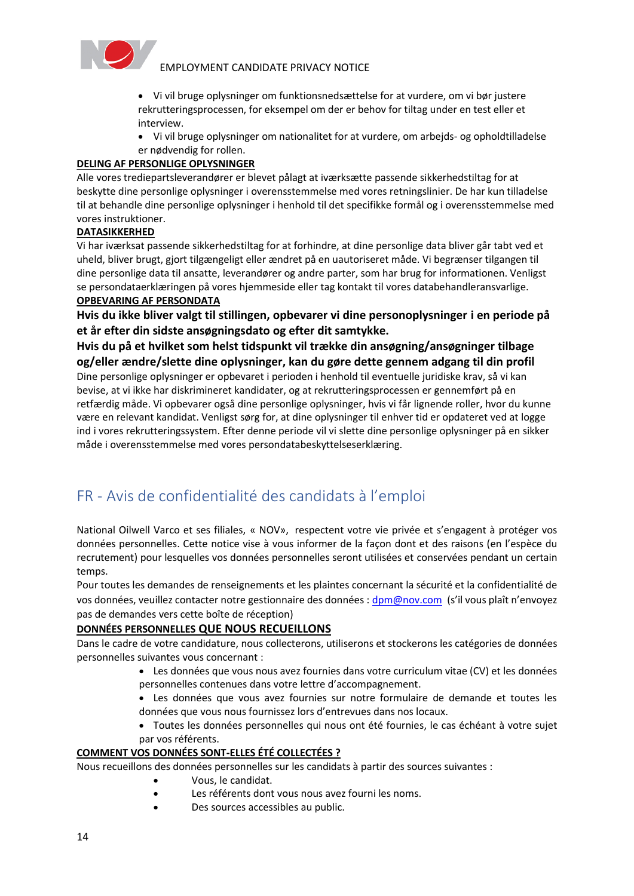

• Vi vil bruge oplysninger om funktionsnedsættelse for at vurdere, om vi bør justere rekrutteringsprocessen, for eksempel om der er behov for tiltag under en test eller et interview.

• Vi vil bruge oplysninger om nationalitet for at vurdere, om arbejds- og opholdtilladelse er nødvendig for rollen.

#### **DELING AF PERSONLIGE OPLYSNINGER**

Alle vores trediepartsleverandører er blevet pålagt at iværksætte passende sikkerhedstiltag for at beskytte dine personlige oplysninger i overensstemmelse med vores retningslinier. De har kun tilladelse til at behandle dine personlige oplysninger i henhold til det specifikke formål og i overensstemmelse med vores instruktioner.

#### **DATASIKKERHED**

Vi har iværksat passende sikkerhedstiltag for at forhindre, at dine personlige data bliver går tabt ved et uheld, bliver brugt, gjort tilgængeligt eller ændret på en uautoriseret måde. Vi begrænser tilgangen til dine personlige data til ansatte, leverandører og andre parter, som har brug for informationen. Venligst se persondataerklæringen på vores hjemmeside eller tag kontakt til vores databehandleransvarlige. **OPBEVARING AF PERSONDATA**

**Hvis du ikke bliver valgt til stillingen, opbevarer vi dine personoplysninger i en periode på et år efter din sidste ansøgningsdato og efter dit samtykke.**

**Hvis du på et hvilket som helst tidspunkt vil trække din ansøgning/ansøgninger tilbage og/eller ændre/slette dine oplysninger, kan du gøre dette gennem adgang til din profil** Dine personlige oplysninger er opbevaret i perioden i henhold til eventuelle juridiske krav, så vi kan bevise, at vi ikke har diskrimineret kandidater, og at rekrutteringsprocessen er gennemført på en retfærdig måde. Vi opbevarer også dine personlige oplysninger, hvis vi får lignende roller, hvor du kunne være en relevant kandidat. Venligst sørg for, at dine oplysninger til enhver tid er opdateret ved at logge ind i vores rekrutteringssystem. Efter denne periode vil vi slette dine personlige oplysninger på en sikker måde i overensstemmelse med vores persondatabeskyttelseserklæring.

# FR - Avis de confidentialité des candidats à l'emploi

National Oilwell Varco et ses filiales, « NOV», respectent votre vie privée et s'engagent à protéger vos données personnelles. Cette notice vise à vous informer de la façon dont et des raisons (en l'espèce du recrutement) pour lesquelles vos données personnelles seront utilisées et conservées pendant un certain temps.

Pour toutes les demandes de renseignements et les plaintes concernant la sécurité et la confidentialité de vos données, veuillez contacter notre gestionnaire des données : [dpm@nov.com](mailto:dpm@nov.com) (s'il vous plaît n'envoyez pas de demandes vers cette boîte de réception)

#### **DONNÉES PERSONNELLES QUE NOUS RECUEILLONS**

Dans le cadre de votre candidature, nous collecterons, utiliserons et stockerons les catégories de données personnelles suivantes vous concernant :

- Les données que vous nous avez fournies dans votre curriculum vitae (CV) et les données personnelles contenues dans votre lettre d'accompagnement.
- Les données que vous avez fournies sur notre formulaire de demande et toutes les données que vous nous fournissez lors d'entrevues dans nos locaux.
- Toutes les données personnelles qui nous ont été fournies, le cas échéant à votre sujet par vos référents.

#### **COMMENT VOS DONNÉES SONT-ELLES ÉTÉ COLLECTÉES ?**

Nous recueillons des données personnelles sur les candidats à partir des sources suivantes :

- Vous, le candidat.
- Les référents dont vous nous avez fourni les noms.
- Des sources accessibles au public.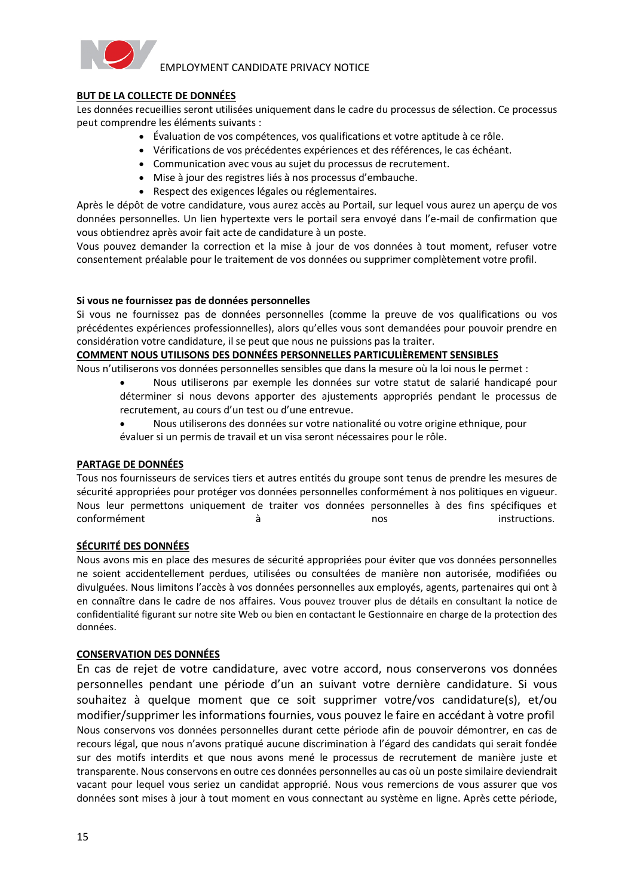

#### **BUT DE LA COLLECTE DE DONNÉES**

Les données recueillies seront utilisées uniquement dans le cadre du processus de sélection. Ce processus peut comprendre les éléments suivants :

- Évaluation de vos compétences, vos qualifications et votre aptitude à ce rôle.
- Vérifications de vos précédentes expériences et des références, le cas échéant.
- Communication avec vous au sujet du processus de recrutement.
- Mise à jour des registres liés à nos processus d'embauche.
- Respect des exigences légales ou réglementaires.

Après le dépôt de votre candidature, vous aurez accès au Portail, sur lequel vous aurez un aperçu de vos données personnelles. Un lien hypertexte vers le portail sera envoyé dans l'e-mail de confirmation que vous obtiendrez après avoir fait acte de candidature à un poste.

Vous pouvez demander la correction et la mise à jour de vos données à tout moment, refuser votre consentement préalable pour le traitement de vos données ou supprimer complètement votre profil.

#### **Si vous ne fournissez pas de données personnelles**

Si vous ne fournissez pas de données personnelles (comme la preuve de vos qualifications ou vos précédentes expériences professionnelles), alors qu'elles vous sont demandées pour pouvoir prendre en considération votre candidature, il se peut que nous ne puissions pas la traiter.

#### **COMMENT NOUS UTILISONS DES DONNÉES PERSONNELLES PARTICULIÈREMENT SENSIBLES**

Nous n'utiliserons vos données personnelles sensibles que dans la mesure où la loi nous le permet :

- Nous utiliserons par exemple les données sur votre statut de salarié handicapé pour déterminer si nous devons apporter des ajustements appropriés pendant le processus de recrutement, au cours d'un test ou d'une entrevue.
- Nous utiliserons des données sur votre nationalité ou votre origine ethnique, pour évaluer si un permis de travail et un visa seront nécessaires pour le rôle.

#### **PARTAGE DE DONNÉES**

Tous nos fournisseurs de services tiers et autres entités du groupe sont tenus de prendre les mesures de sécurité appropriées pour protéger vos données personnelles conformément à nos politiques en vigueur. Nous leur permettons uniquement de traiter vos données personnelles à des fins spécifiques et conformément  $\dot{a}$  and  $\dot{a}$  and  $\dot{a}$  nos instructions.

#### **SÉCURITÉ DES DONNÉES**

Nous avons mis en place des mesures de sécurité appropriées pour éviter que vos données personnelles ne soient accidentellement perdues, utilisées ou consultées de manière non autorisée, modifiées ou divulguées. Nous limitons l'accès à vos données personnelles aux employés, agents, partenaires qui ont à en connaître dans le cadre de nos affaires. Vous pouvez trouver plus de détails en consultant la notice de confidentialité figurant sur notre site Web ou bien en contactant le Gestionnaire en charge de la protection des données.

#### **CONSERVATION DES DONNÉES**

En cas de rejet de votre candidature, avec votre accord, nous conserverons vos données personnelles pendant une période d'un an suivant votre dernière candidature. Si vous souhaitez à quelque moment que ce soit supprimer votre/vos candidature(s), et/ou modifier/supprimer les informations fournies, vous pouvez le faire en accédant à votre profil Nous conservons vos données personnelles durant cette période afin de pouvoir démontrer, en cas de recours légal, que nous n'avons pratiqué aucune discrimination à l'égard des candidats qui serait fondée sur des motifs interdits et que nous avons mené le processus de recrutement de manière juste et transparente. Nous conservons en outre ces données personnelles au cas où un poste similaire deviendrait vacant pour lequel vous seriez un candidat approprié. Nous vous remercions de vous assurer que vos données sont mises à jour à tout moment en vous connectant au système en ligne. Après cette période,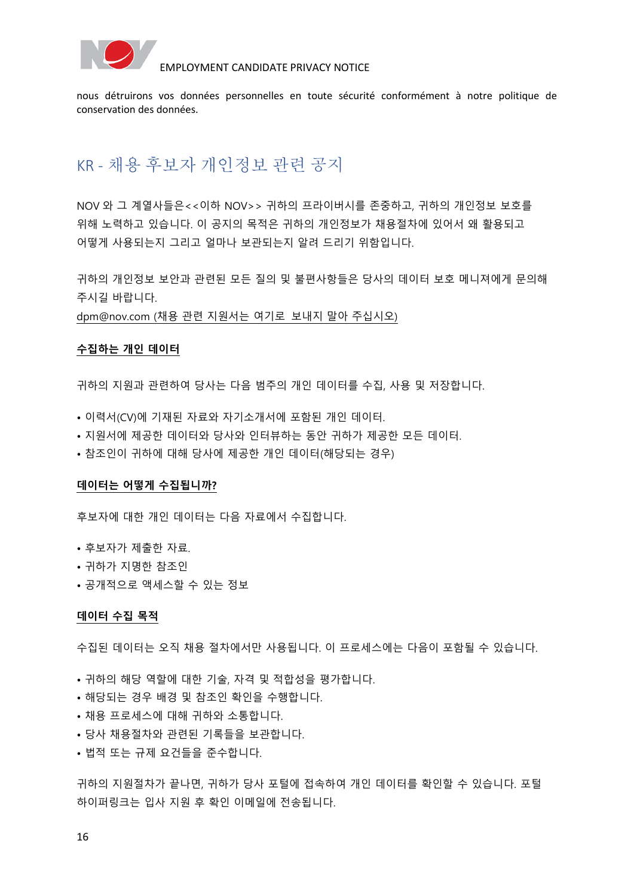

nous détruirons vos données personnelles en toute sécurité conformément à notre politique de conservation des données.

# <span id="page-15-0"></span>KR - 채용 후보자 개인정보 관련 공지

NOV 와 그 계열사들은<<이하 NOV>> 귀하의 프라이버시를 존중하고, 귀하의 개인정보 보호를 위해 노력하고 있습니다. 이 공지의 목적은 귀하의 개인정보가 채용절차에 있어서 왜 활용되고 어떻게 사용되는지 그리고 얼마나 보관되는지 알려 드리기 위함입니다.

귀하의 개인정보 보안과 관련된 모든 질의 및 불편사항들은 당사의 데이터 보호 메니져에게 문의해 주시길 바랍니다.

[dpm@nov.com](mailto:dpm@nov.com) (채용 관련 지원서는 여기로 보내지 말아 주십시오)

#### **수집하는 개인 데이터**

귀하의 지원과 관련하여 당사는 다음 범주의 개인 데이터를 수집, 사용 및 저장합니다.

- 이력서(CV)에 기재된 자료와 자기소개서에 포함된 개인 데이터.
- 지원서에 제공한 데이터와 당사와 인터뷰하는 동안 귀하가 제공한 모든 데이터.
- 참조인이 귀하에 대해 당사에 제공한 개인 데이터(해당되는 경우)

#### **데이터는 어떻게 수집됩니까?**

후보자에 대한 개인 데이터는 다음 자료에서 수집합니다.

- 후보자가 제출한 자료.
- 귀하가 지명한 참조인
- 공개적으로 액세스할 수 있는 정보

#### **데이터 수집 목적**

수집된 데이터는 오직 채용 절차에서만 사용됩니다. 이 프로세스에는 다음이 포함될 수 있습니다.

- 귀하의 해당 역할에 대한 기술, 자격 및 적합성을 평가합니다.
- 해당되는 경우 배경 및 참조인 확인을 수행합니다.
- 채용 프로세스에 대해 귀하와 소통합니다.
- 당사 채용절차와 관련된 기록들을 보관합니다.
- 법적 또는 규제 요건들을 준수합니다.

귀하의 지원절차가 끝나면, 귀하가 당사 포털에 접속하여 개인 데이터를 확인할 수 있습니다. 포털 하이퍼링크는 입사 지원 후 확인 이메일에 전송됩니다.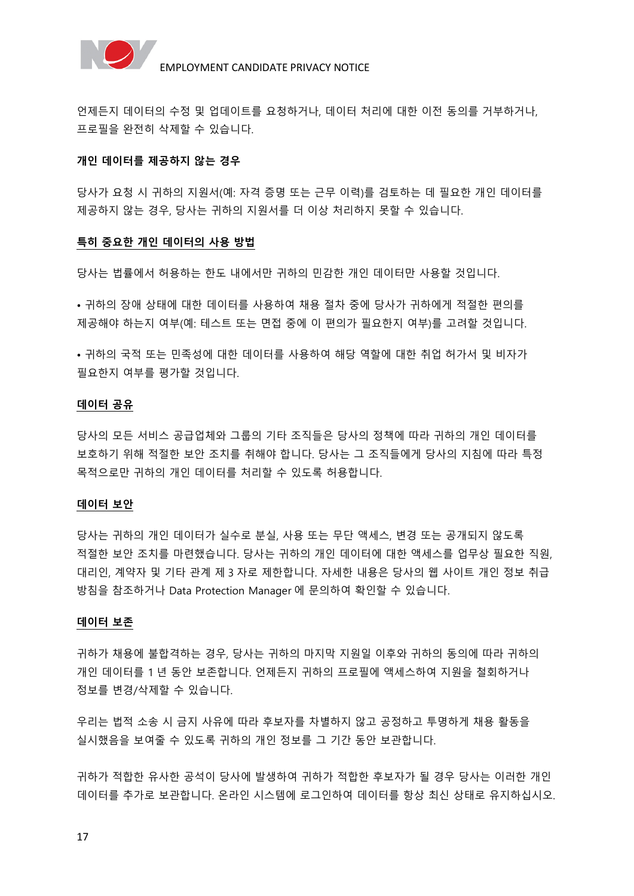

언제든지 데이터의 수정 및 업데이트를 요청하거나, 데이터 처리에 대한 이전 동의를 거부하거나, 프로필을 완전히 삭제할 수 있습니다.

#### **개인 데이터를 제공하지 않는 경우**

당사가 요청 시 귀하의 지원서(예: 자격 증명 또는 근무 이력)를 검토하는 데 필요한 개인 데이터를 제공하지 않는 경우, 당사는 귀하의 지원서를 더 이상 처리하지 못할 수 있습니다.

#### **특히 중요한 개인 데이터의 사용 방법**

당사는 법률에서 허용하는 한도 내에서만 귀하의 민감한 개인 데이터만 사용할 것입니다.

• 귀하의 장애 상태에 대한 데이터를 사용하여 채용 절차 중에 당사가 귀하에게 적절한 편의를 제공해야 하는지 여부(예: 테스트 또는 면접 중에 이 편의가 필요한지 여부)를 고려할 것입니다.

• 귀하의 국적 또는 민족성에 대한 데이터를 사용하여 해당 역할에 대한 취업 허가서 및 비자가 필요한지 여부를 평가할 것입니다.

#### **데이터 공유**

당사의 모든 서비스 공급업체와 그룹의 기타 조직들은 당사의 정책에 따라 귀하의 개인 데이터를 보호하기 위해 적절한 보안 조치를 취해야 합니다. 당사는 그 조직들에게 당사의 지침에 따라 특정 목적으로만 귀하의 개인 데이터를 처리할 수 있도록 허용합니다.

#### **데이터 보안**

당사는 귀하의 개인 데이터가 실수로 분실, 사용 또는 무단 액세스, 변경 또는 공개되지 않도록 적절한 보안 조치를 마련했습니다. 당사는 귀하의 개인 데이터에 대한 액세스를 업무상 필요한 직원, 대리인, 계약자 및 기타 관계 제 3 자로 제한합니다. 자세한 내용은 당사의 웹 사이트 개인 정보 취급 방침을 참조하거나 Data Protection Manager 에 문의하여 확인할 수 있습니다.

#### **데이터 보존**

귀하가 채용에 불합격하는 경우, 당사는 귀하의 마지막 지원일 이후와 귀하의 동의에 따라 귀하의 개인 데이터를 1 년 동안 보존합니다. 언제든지 귀하의 프로필에 액세스하여 지원을 철회하거나 정보를 변경/삭제할 수 있습니다.

우리는 법적 소송 시 금지 사유에 따라 후보자를 차별하지 않고 공정하고 투명하게 채용 활동을 실시했음을 보여줄 수 있도록 귀하의 개인 정보를 그 기간 동안 보관합니다.

귀하가 적합한 유사한 공석이 당사에 발생하여 귀하가 적합한 후보자가 될 경우 당사는 이러한 개인 데이터를 추가로 보관합니다. 온라인 시스템에 로그인하여 데이터를 항상 최신 상태로 유지하십시오.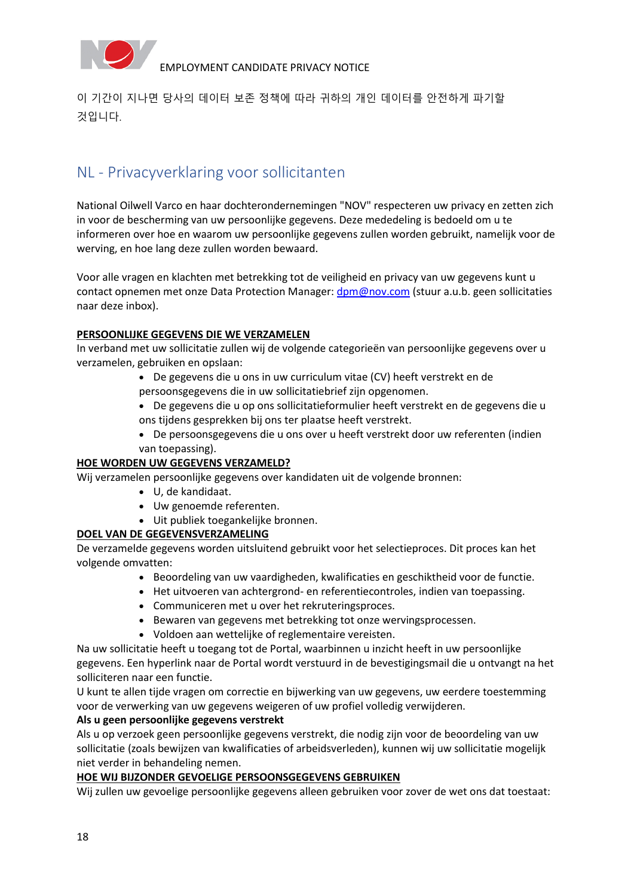

이 기간이 지나면 당사의 데이터 보존 정책에 따라 귀하의 개인 데이터를 안전하게 파기할 것입니다.

# <span id="page-17-0"></span>NL - Privacyverklaring voor sollicitanten

National Oilwell Varco en haar dochterondernemingen "NOV" respecteren uw privacy en zetten zich in voor de bescherming van uw persoonlijke gegevens. Deze mededeling is bedoeld om u te informeren over hoe en waarom uw persoonlijke gegevens zullen worden gebruikt, namelijk voor de werving, en hoe lang deze zullen worden bewaard.

Voor alle vragen en klachten met betrekking tot de veiligheid en privacy van uw gegevens kunt u contact opnemen met onze Data Protection Manager: dpm@nov.com (stuur a.u.b. geen sollicitaties naar deze inbox).

#### **PERSOONLIJKE GEGEVENS DIE WE VERZAMELEN**

In verband met uw sollicitatie zullen wij de volgende categorieën van persoonlijke gegevens over u verzamelen, gebruiken en opslaan:

- De gegevens die u ons in uw curriculum vitae (CV) heeft verstrekt en de persoonsgegevens die in uw sollicitatiebrief zijn opgenomen.
- De gegevens die u op ons sollicitatieformulier heeft verstrekt en de gegevens die u ons tijdens gesprekken bij ons ter plaatse heeft verstrekt.
- De persoonsgegevens die u ons over u heeft verstrekt door uw referenten (indien van toepassing).

#### **HOE WORDEN UW GEGEVENS VERZAMELD?**

Wij verzamelen persoonlijke gegevens over kandidaten uit de volgende bronnen:

- U, de kandidaat.
- Uw genoemde referenten.
- Uit publiek toegankelijke bronnen.

#### **DOEL VAN DE GEGEVENSVERZAMELING**

De verzamelde gegevens worden uitsluitend gebruikt voor het selectieproces. Dit proces kan het volgende omvatten:

- Beoordeling van uw vaardigheden, kwalificaties en geschiktheid voor de functie.
- Het uitvoeren van achtergrond- en referentiecontroles, indien van toepassing.
- Communiceren met u over het rekruteringsproces.
- Bewaren van gegevens met betrekking tot onze wervingsprocessen.
- Voldoen aan wettelijke of reglementaire vereisten.

Na uw sollicitatie heeft u toegang tot de Portal, waarbinnen u inzicht heeft in uw persoonlijke gegevens. Een hyperlink naar de Portal wordt verstuurd in de bevestigingsmail die u ontvangt na het solliciteren naar een functie.

U kunt te allen tijde vragen om correctie en bijwerking van uw gegevens, uw eerdere toestemming voor de verwerking van uw gegevens weigeren of uw profiel volledig verwijderen.

#### **Als u geen persoonlijke gegevens verstrekt**

Als u op verzoek geen persoonlijke gegevens verstrekt, die nodig zijn voor de beoordeling van uw sollicitatie (zoals bewijzen van kwalificaties of arbeidsverleden), kunnen wij uw sollicitatie mogelijk niet verder in behandeling nemen.

#### **HOE WIJ BIJZONDER GEVOELIGE PERSOONSGEGEVENS GEBRUIKEN**

Wij zullen uw gevoelige persoonlijke gegevens alleen gebruiken voor zover de wet ons dat toestaat: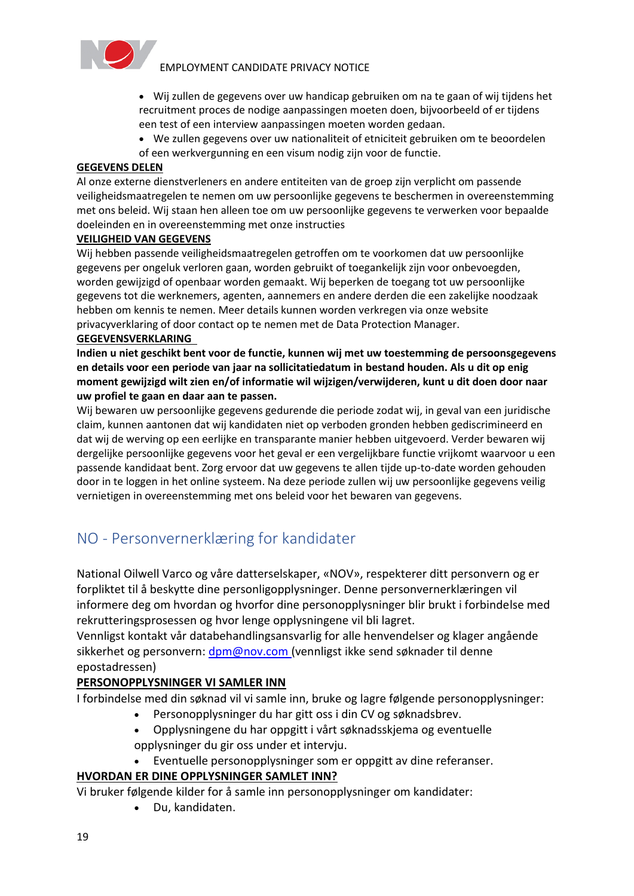

- Wij zullen de gegevens over uw handicap gebruiken om na te gaan of wij tijdens het recruitment proces de nodige aanpassingen moeten doen, bijvoorbeeld of er tijdens een test of een interview aanpassingen moeten worden gedaan.
- We zullen gegevens over uw nationaliteit of etniciteit gebruiken om te beoordelen of een werkvergunning en een visum nodig zijn voor de functie.

#### **GEGEVENS DELEN**

Al onze externe dienstverleners en andere entiteiten van de groep zijn verplicht om passende veiligheidsmaatregelen te nemen om uw persoonlijke gegevens te beschermen in overeenstemming met ons beleid. Wij staan hen alleen toe om uw persoonlijke gegevens te verwerken voor bepaalde doeleinden en in overeenstemming met onze instructies

#### **VEILIGHEID VAN GEGEVENS**

Wij hebben passende veiligheidsmaatregelen getroffen om te voorkomen dat uw persoonlijke gegevens per ongeluk verloren gaan, worden gebruikt of toegankelijk zijn voor onbevoegden, worden gewijzigd of openbaar worden gemaakt. Wij beperken de toegang tot uw persoonlijke gegevens tot die werknemers, agenten, aannemers en andere derden die een zakelijke noodzaak hebben om kennis te nemen. Meer details kunnen worden verkregen via onze website privacyverklaring of door contact op te nemen met de Data Protection Manager.

### **GEGEVENSVERKLARING**

**Indien u niet geschikt bent voor de functie, kunnen wij met uw toestemming de persoonsgegevens en details voor een periode van jaar na sollicitatiedatum in bestand houden. Als u dit op enig moment gewijzigd wilt zien en/of informatie wil wijzigen/verwijderen, kunt u dit doen door naar uw profiel te gaan en daar aan te passen.**

Wij bewaren uw persoonlijke gegevens gedurende die periode zodat wij, in geval van een juridische claim, kunnen aantonen dat wij kandidaten niet op verboden gronden hebben gediscrimineerd en dat wij de werving op een eerlijke en transparante manier hebben uitgevoerd. Verder bewaren wij dergelijke persoonlijke gegevens voor het geval er een vergelijkbare functie vrijkomt waarvoor u een passende kandidaat bent. Zorg ervoor dat uw gegevens te allen tijde up-to-date worden gehouden door in te loggen in het online systeem. Na deze periode zullen wij uw persoonlijke gegevens veilig vernietigen in overeenstemming met ons beleid voor het bewaren van gegevens.

# <span id="page-18-0"></span>NO - Personvernerklæring for kandidater

National Oilwell Varco og våre datterselskaper, «NOV», respekterer ditt personvern og er forpliktet til å beskytte dine personligopplysninger. Denne personvernerklæringen vil informere deg om hvordan og hvorfor dine personopplysninger blir brukt i forbindelse med rekrutteringsprosessen og hvor lenge opplysningene vil bli lagret.

Vennligst kontakt vår databehandlingsansvarlig for alle henvendelser og klager angående sikkerhet og personvern: [dpm@nov.com](mailto:dpm@nov.com) (vennligst ikke send søknader til denne epostadressen)

#### **PERSONOPPLYSNINGER VI SAMLER INN**

I forbindelse med din søknad vil vi samle inn, bruke og lagre følgende personopplysninger:

- Personopplysninger du har gitt oss i din CV og søknadsbrev.
- Opplysningene du har oppgitt i vårt søknadsskjema og eventuelle opplysninger du gir oss under et intervju.
- Eventuelle personopplysninger som er oppgitt av dine referanser.

### **HVORDAN ER DINE OPPLYSNINGER SAMLET INN?**

Vi bruker følgende kilder for å samle inn personopplysninger om kandidater:

• Du, kandidaten.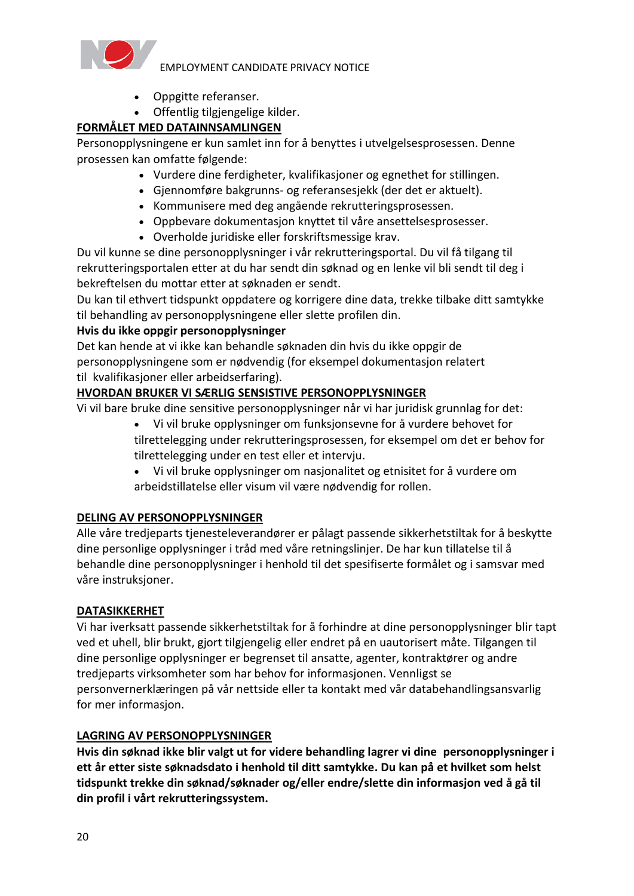

- Oppgitte referanser.
- Offentlig tilgjengelige kilder.

### **FORMÅLET MED DATAINNSAMLINGEN**

Personopplysningene er kun samlet inn for å benyttes i utvelgelsesprosessen. Denne prosessen kan omfatte følgende:

- Vurdere dine ferdigheter, kvalifikasjoner og egnethet for stillingen.
- Gjennomføre bakgrunns- og referansesjekk (der det er aktuelt).
- Kommunisere med deg angående rekrutteringsprosessen.
- Oppbevare dokumentasjon knyttet til våre ansettelsesprosesser.
- Overholde juridiske eller forskriftsmessige krav.

Du vil kunne se dine personopplysninger i vår rekrutteringsportal. Du vil få tilgang til rekrutteringsportalen etter at du har sendt din søknad og en lenke vil bli sendt til deg i bekreftelsen du mottar etter at søknaden er sendt.

Du kan til ethvert tidspunkt oppdatere og korrigere dine data, trekke tilbake ditt samtykke til behandling av personopplysningene eller slette profilen din.

### **Hvis du ikke oppgir personopplysninger**

Det kan hende at vi ikke kan behandle søknaden din hvis du ikke oppgir de personopplysningene som er nødvendig (for eksempel dokumentasjon relatert til kvalifikasjoner eller arbeidserfaring).

### **HVORDAN BRUKER VI SÆRLIG SENSISTIVE PERSONOPPLYSNINGER**

Vi vil bare bruke dine sensitive personopplysninger når vi har juridisk grunnlag for det:

- Vi vil bruke opplysninger om funksjonsevne for å vurdere behovet for tilrettelegging under rekrutteringsprosessen, for eksempel om det er behov for tilrettelegging under en test eller et intervju.
- Vi vil bruke opplysninger om nasjonalitet og etnisitet for å vurdere om arbeidstillatelse eller visum vil være nødvendig for rollen.

### **DELING AV PERSONOPPLYSNINGER**

Alle våre tredjeparts tjenesteleverandører er pålagt passende sikkerhetstiltak for å beskytte dine personlige opplysninger i tråd med våre retningslinjer. De har kun tillatelse til å behandle dine personopplysninger i henhold til det spesifiserte formålet og i samsvar med våre instruksjoner.

### **DATASIKKERHET**

Vi har iverksatt passende sikkerhetstiltak for å forhindre at dine personopplysninger blir tapt ved et uhell, blir brukt, gjort tilgjengelig eller endret på en uautorisert måte. Tilgangen til dine personlige opplysninger er begrenset til ansatte, agenter, kontraktører og andre tredjeparts virksomheter som har behov for informasjonen. Vennligst se personvernerklæringen på vår nettside eller ta kontakt med vår databehandlingsansvarlig for mer informasjon.

### **LAGRING AV PERSONOPPLYSNINGER**

**Hvis din søknad ikke blir valgt ut for videre behandling lagrer vi dine  personopplysninger i ett år etter siste søknadsdato i henhold til ditt samtykke. Du kan på et hvilket som helst tidspunkt trekke din søknad/søknader og/eller endre/slette din informasjon ved å gå til din profil i vårt rekrutteringssystem.**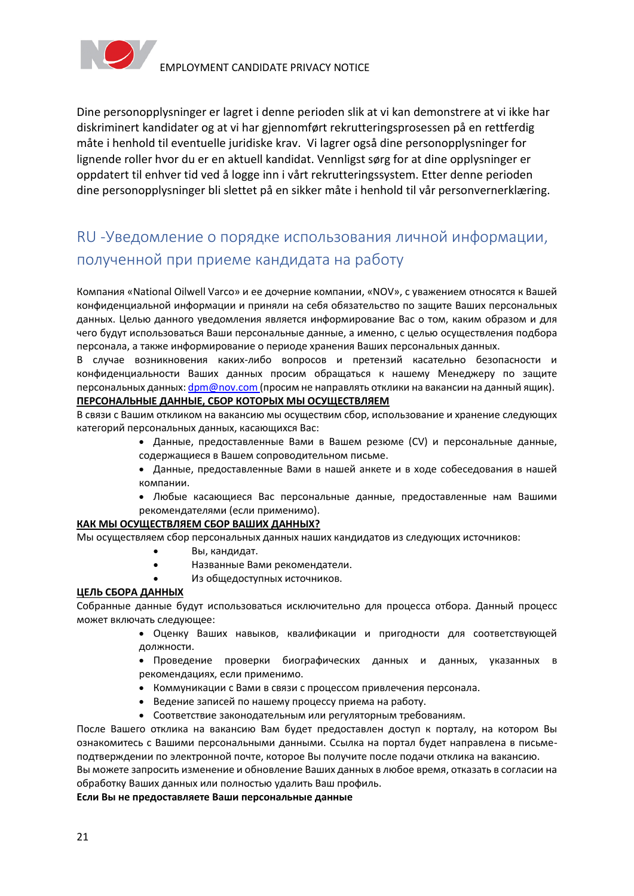

Dine personopplysninger er lagret i denne perioden slik at vi kan demonstrere at vi ikke har diskriminert kandidater og at vi har gjennomført rekrutteringsprosessen på en rettferdig måte i henhold til eventuelle juridiske krav. Vi lagrer også dine personopplysninger for lignende roller hvor du er en aktuell kandidat. Vennligst sørg for at dine opplysninger er oppdatert til enhver tid ved å logge inn i vårt rekrutteringssystem. Etter denne perioden dine personopplysninger bli slettet på en sikker måte i henhold til vår personvernerklæring.

# <span id="page-20-0"></span>RU -Уведомление о порядке использования личной информации, полученной при приеме кандидата на работу

Компания «National Oilwell Varco» и ее дочерние компании, «NOV», с уважением относятся к Вашей конфиденциальной информации и приняли на себя обязательство по защите Ваших персональных данных. Целью данного уведомления является информирование Вас о том, каким образом и для чего будут использоваться Ваши персональные данные, а именно, с целью осуществления подбора персонала, а также информирование о периоде хранения Ваших персональных данных.

В случае возникновения каких-либо вопросов и претензий касательно безопасности и конфиденциальности Ваших данных просим обращаться к нашему Менеджеру по защите персональных данных: [dpm@nov.com](mailto:dpm@nov.com) (просим не направлять отклики на вакансии на данный ящик). **ПЕРСОНАЛЬНЫЕ ДАННЫЕ, СБОР КОТОРЫХ МЫ ОСУЩЕСТВЛЯЕМ**

В связи с Вашим откликом на вакансию мы осуществим сбор, использование и хранение следующих категорий персональных данных, касающихся Вас:

- Данные, предоставленные Вами в Вашем резюме (CV) и персональные данные, содержащиеся в Вашем сопроводительном письме.
- Данные, предоставленные Вами в нашей анкете и в ходе собеседования в нашей компании.
- Любые касающиеся Вас персональные данные, предоставленные нам Вашими рекомендателями (если применимо).

#### **КАК МЫ ОСУЩЕСТВЛЯЕМ СБОР ВАШИХ ДАННЫХ?**

Мы осуществляем сбор персональных данных наших кандидатов из следующих источников:

- Вы, кандидат.
- Названные Вами рекомендатели.
- Из общедоступных источников.

#### **ЦЕЛЬ СБОРА ДАННЫХ**

Собранные данные будут использоваться исключительно для процесса отбора. Данный процесс может включать следующее: 

- Оценку Ваших навыков, квалификации и пригодности для соответствующей должности.
- Проведение проверки биографических данных и данных, указанных в рекомендациях, если применимо.
- Коммуникации с Вами в связи с процессом привлечения персонала.
- Ведение записей по нашему процессу приема на работу.
- Соответствие законодательным или регуляторным требованиям.

После Вашего отклика на вакансию Вам будет предоставлен доступ к порталу, на котором Вы ознакомитесь с Вашими персональными данными. Ссылка на портал будет направлена в письмеподтверждении по электронной почте, которое Вы получите после подачи отклика на вакансию.

Вы можете запросить изменение и обновление Ваших данных в любое время, отказать в согласии на обработку Ваших данных или полностью удалить Ваш профиль.

#### **Если Вы не предоставляете Ваши персональные данные**